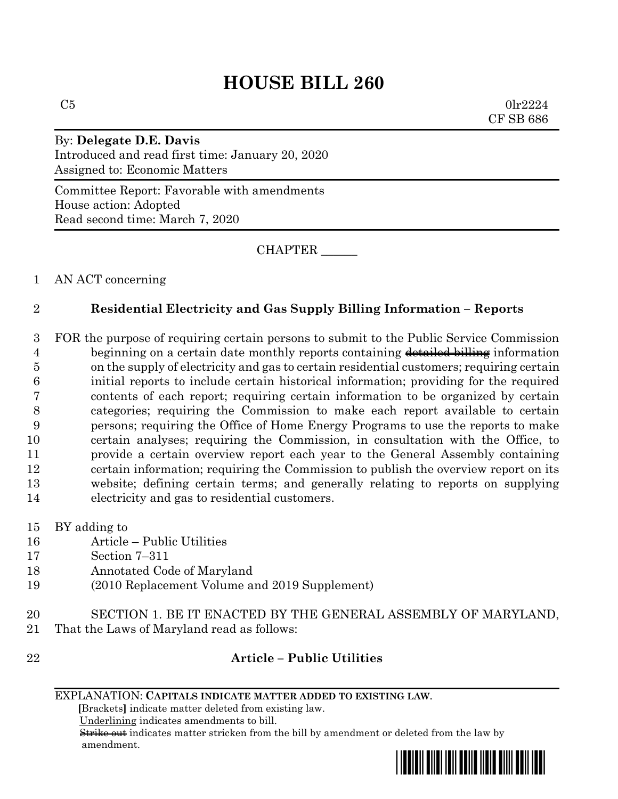## **HOUSE BILL 260**

 $C5$  0lr2224 CF SB 686

By: **Delegate D.E. Davis** Introduced and read first time: January 20, 2020 Assigned to: Economic Matters

Committee Report: Favorable with amendments House action: Adopted Read second time: March 7, 2020

CHAPTER \_\_\_\_\_\_

1 AN ACT concerning

## 2 **Residential Electricity and Gas Supply Billing Information – Reports**

 FOR the purpose of requiring certain persons to submit to the Public Service Commission 4 beginning on a certain date monthly reports containing detailed billing information on the supply of electricity and gas to certain residential customers; requiring certain initial reports to include certain historical information; providing for the required contents of each report; requiring certain information to be organized by certain categories; requiring the Commission to make each report available to certain persons; requiring the Office of Home Energy Programs to use the reports to make certain analyses; requiring the Commission, in consultation with the Office, to provide a certain overview report each year to the General Assembly containing certain information; requiring the Commission to publish the overview report on its website; defining certain terms; and generally relating to reports on supplying electricity and gas to residential customers.

- 15 BY adding to
- 16 Article Public Utilities
- 17 Section 7–311
- 18 Annotated Code of Maryland
- 19 (2010 Replacement Volume and 2019 Supplement)
- 20 SECTION 1. BE IT ENACTED BY THE GENERAL ASSEMBLY OF MARYLAND, 21 That the Laws of Maryland read as follows:
- 

## 22 **Article – Public Utilities**

 **[**Brackets**]** indicate matter deleted from existing law.

Underlining indicates amendments to bill.

 Strike out indicates matter stricken from the bill by amendment or deleted from the law by amendment.



EXPLANATION: **CAPITALS INDICATE MATTER ADDED TO EXISTING LAW**.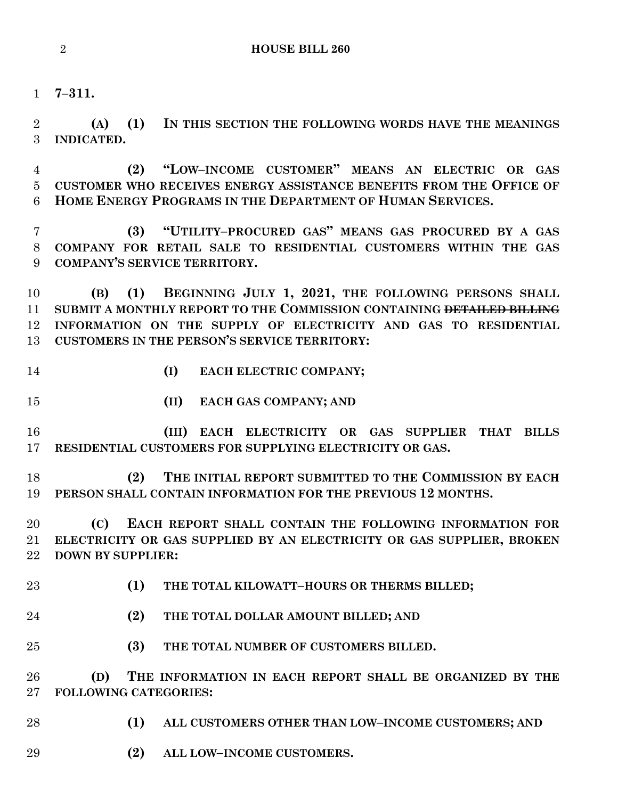**7–311.**

 **(A) (1) IN THIS SECTION THE FOLLOWING WORDS HAVE THE MEANINGS INDICATED.**

 **(2) "LOW–INCOME CUSTOMER" MEANS AN ELECTRIC OR GAS CUSTOMER WHO RECEIVES ENERGY ASSISTANCE BENEFITS FROM THE OFFICE OF HOME ENERGY PROGRAMS IN THE DEPARTMENT OF HUMAN SERVICES.**

 **(3) "UTILITY–PROCURED GAS" MEANS GAS PROCURED BY A GAS COMPANY FOR RETAIL SALE TO RESIDENTIAL CUSTOMERS WITHIN THE GAS COMPANY'S SERVICE TERRITORY.**

 **(B) (1) BEGINNING JULY 1, 2021, THE FOLLOWING PERSONS SHALL SUBMIT A MONTHLY REPORT TO THE COMMISSION CONTAINING DETAILED BILLING INFORMATION ON THE SUPPLY OF ELECTRICITY AND GAS TO RESIDENTIAL CUSTOMERS IN THE PERSON'S SERVICE TERRITORY:**

- **(I) EACH ELECTRIC COMPANY;**
- 
- **(II) EACH GAS COMPANY; AND**

 **(III) EACH ELECTRICITY OR GAS SUPPLIER THAT BILLS RESIDENTIAL CUSTOMERS FOR SUPPLYING ELECTRICITY OR GAS.**

 **(2) THE INITIAL REPORT SUBMITTED TO THE COMMISSION BY EACH PERSON SHALL CONTAIN INFORMATION FOR THE PREVIOUS 12 MONTHS.**

 **(C) EACH REPORT SHALL CONTAIN THE FOLLOWING INFORMATION FOR ELECTRICITY OR GAS SUPPLIED BY AN ELECTRICITY OR GAS SUPPLIER, BROKEN DOWN BY SUPPLIER:**

- **(1) THE TOTAL KILOWATT–HOURS OR THERMS BILLED;**
- **(2) THE TOTAL DOLLAR AMOUNT BILLED; AND**
- **(3) THE TOTAL NUMBER OF CUSTOMERS BILLED.**

 **(D) THE INFORMATION IN EACH REPORT SHALL BE ORGANIZED BY THE FOLLOWING CATEGORIES:**

- **(1) ALL CUSTOMERS OTHER THAN LOW–INCOME CUSTOMERS; AND**
- **(2) ALL LOW–INCOME CUSTOMERS.**